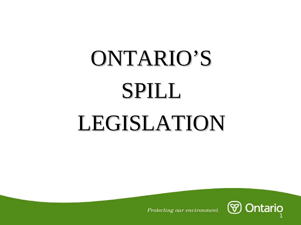# ONTARIO'S SPILL LEGISLATION LEGISLATION

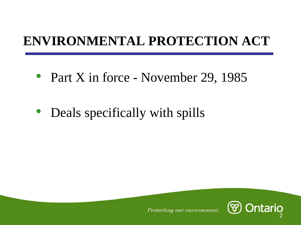### **ENVIRONMENTAL PROTECTION ACT**

- Part X in force November 29, 1985
- $\bullet$ Deals specifically with spills

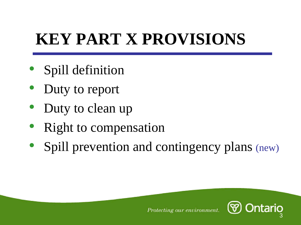## **KEY PART X PROVISIONS**

- $\bullet$ Spill definition
- $\bullet$ Duty to report
- $\bullet$ Duty to clean up
- $\bullet$ Right to compensation
- $\bullet$ Spill prevention and contingency plans (new)

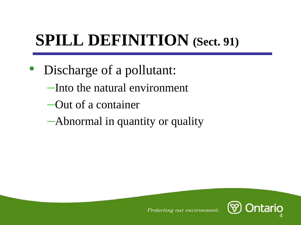### **SPILL DEFINITION (Sect. 91)**

- Discharge of a pollutant:
	- –Into the natural environment
	- –Out of a container
	- –Abnormal in quantity or quality

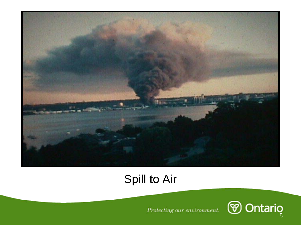

### Spill to Air

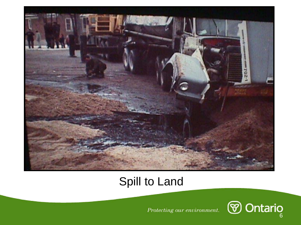

#### Spill to Land

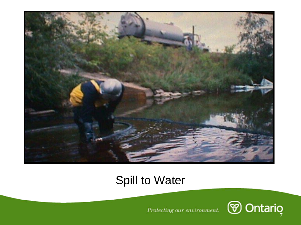

#### Spill to Water

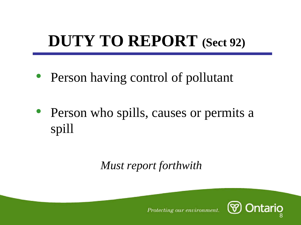### **DUTY TO REPORT (Sect 92)**

- Person having control of pollutant
- Person who spills, causes or permits a spill

### *Must report forthwith*

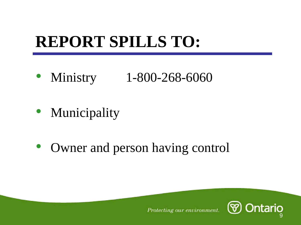### **REPORT SPILLS TO:**

- Ministry Ministry 1-800-268-6060
- Municipality
- Owner and person having control

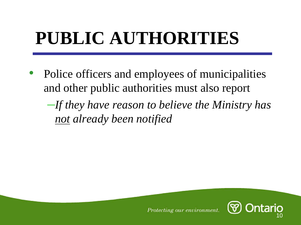## **PUBLIC AUTHORITIES**

 $\bullet$  Police officers and employees of municipalities and other public authorities must also report

–*If they have reason to believe the Ministry has not already been notified*

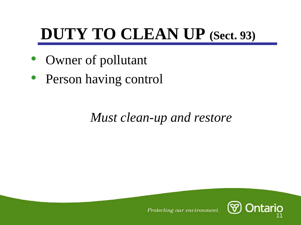### **DUTY TO CLEAN UP (Sect. 93)**

- $\bullet$ Owner of pollutant
- Person having control

### *Must clean-up and restore*

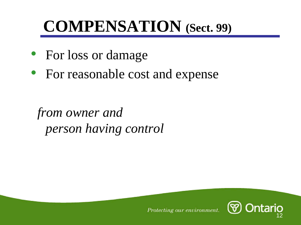### **COMPENSATION (Sect. 99)**

- For loss or damage
- For reasonable cost and expense

*from owner and person having control*

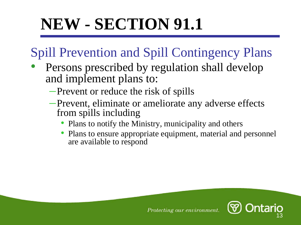### **NEW - SECTION 91.1**

### Spill Prevention and Spill Contingency Plans

- • Persons prescribed by regulation shall develop and implement plans to:
	- –Prevent or reduce the risk of spills
	- –Prevent, eliminate or ameliorate any adverse effects from spills including
		- Plans to notify the Ministry, municipality and others
		- • Plans to ensure appropriate equipment, material and personnel are available to respond

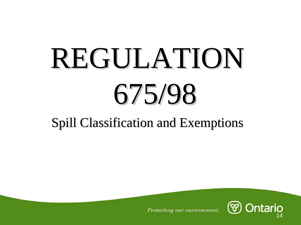# REGULATION REGULATION 675/98

### Spill Classification and Exemptions

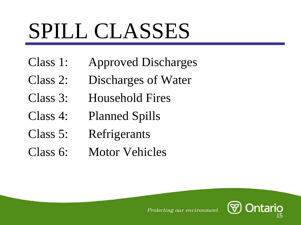## SPILL CLASSES

- Class 1: Approved Discharges
- Class 2: Discharges of Water
- Class 3: Household Fires
- Class 4: Planned Spills
- Class 5: Refrigerants
- Class 6: Motor Vehicles

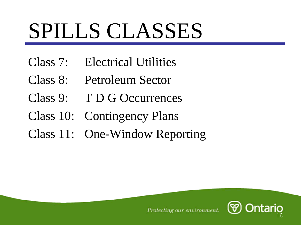## SPILLS CLASSES

- Class 7: Electrical Utilities
- Class 8: Petroleum Sector
- Class 9: T D G Occurrences
- Class 10: Contingency Plans
- Class 11: One-Window Reporting

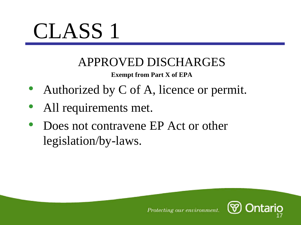

### APPROVED DISCHARGES

#### **Exempt from Part X of EPA**

- Authorized by C of A, licence or permit.
- $\bullet$ All requirements met.
- $\bullet$  Does not contravene EP Act or other legislation/by-laws.

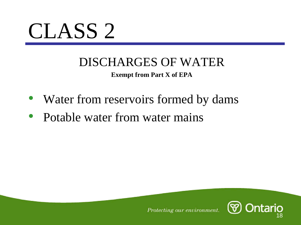

### DISCHARGES OF WATER

**Exempt from Part X of EPA**

- Water from reservoirs formed by dams
- Potable water from water mains

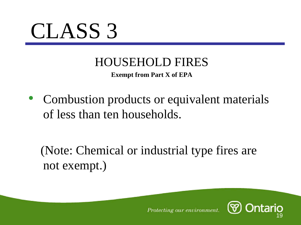

### HOUSEHOLD FIRES

**Exempt from Part X of EPA**

• Combustion products or equivalent materials of less than ten households.

(Note: Chemical or industrial type fires are not exempt.)

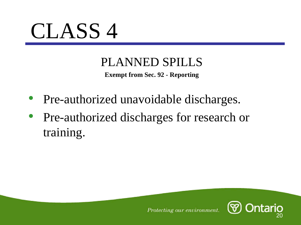

### PLANNED SPILLS

**Exempt from Sec. 92 - Reporting**

- Pre-authorized unavoidable discharges.
- Pre-authorized discharges for research or training.

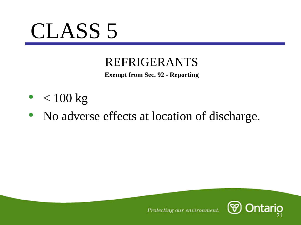

#### REFRIGERANTS

**Exempt from Sec. 92 - Reporting**

- $\bullet$   $\, < 100 \text{ kg}$
- No adverse effects at location of discharge.

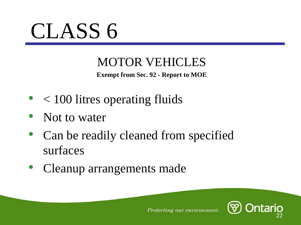

### MOTOR VEHICLES

**Exempt from Sec. 92 - Report to MOE**

- < 100 litres operating fluids
- Not to water
- $\bullet$  Can be readily cleaned from specified surfaces
- $\bullet$ Cleanup arrangements made

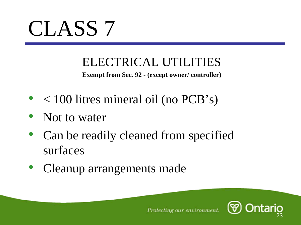

### ELECTRICAL UTILITIES

**Exempt from Sec. 92 - (except owner/ controller)**

- < 100 litres mineral oil (no PCB's)
- Not to water
- $\bullet$  Can be readily cleaned from specified surfaces
- $\bullet$ Cleanup arrangements made

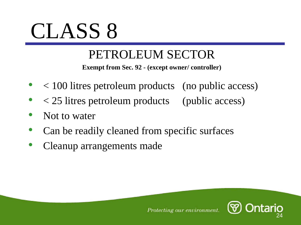### PETROLEUM SECTOR

**Exempt from Sec. 92 - (except owner/ controller)**

- $\bullet$ < 100 litres petroleum products (no public access)
- $\bullet$ < 25 litres petroleum products (public access)
- $\bullet$ Not to water
- $\bullet$ Can be readily cleaned from specific surfaces
- $\bullet$ Cleanup arrangements made

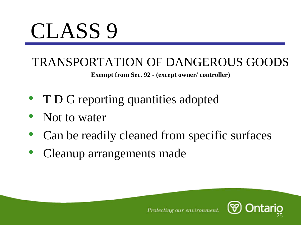### TRANSPORTATION OF DANGEROUS GOODS

**Exempt from Sec. 92 - (except owner/ controller)**

- T D G reporting quantities adopted
- $\bullet$ Not to water
- $\bullet$ Can be readily cleaned from specific surfaces
- $\bullet$ Cleanup arrangements made

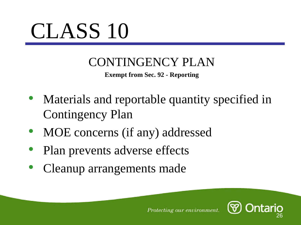### CONTINGENCY PLAN

**Exempt from Sec. 92 - Reporting**

- Materials and reportable quantity specified in Contingency Plan
- $\bullet$ MOE concerns (if any) addressed
- $\bullet$ Plan prevents adverse effects
- $\bullet$ Cleanup arrangements made